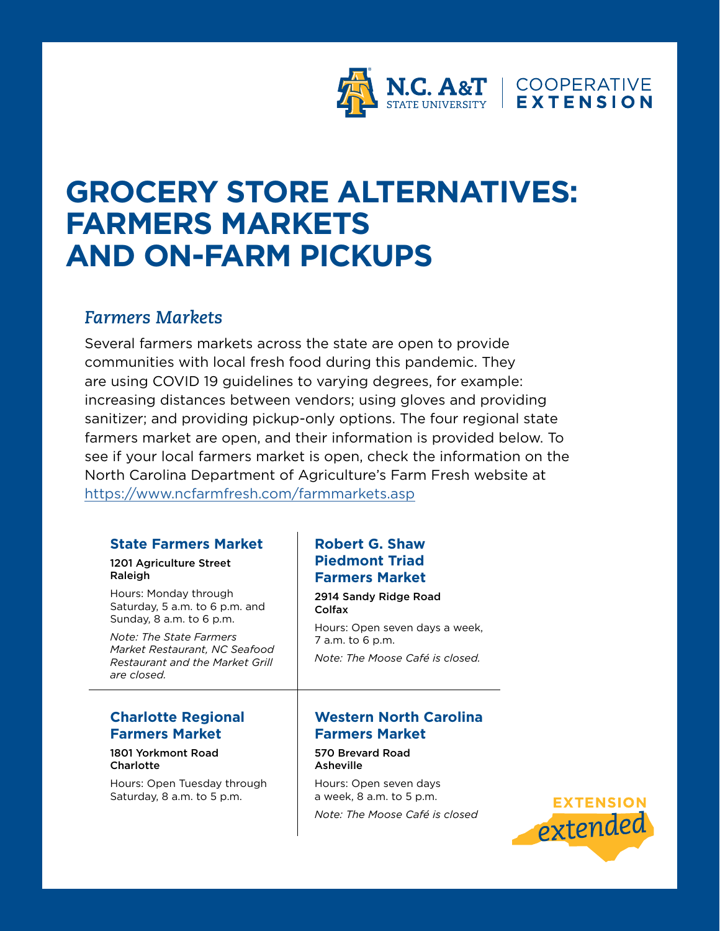

# **GROCERY STORE ALTERNATIVES: FARMERS MARKETS AND ON-FARM PICKUPS**

## *Farmers Markets*

Several farmers markets across the state are open to provide communities with local fresh food during this pandemic. They are using COVID 19 guidelines to varying degrees, for example: increasing distances between vendors; using gloves and providing sanitizer; and providing pickup-only options. The four regional state farmers market are open, and their information is provided below. To see if your local farmers market is open, check the information on the North Carolina Department of Agriculture's Farm Fresh website at <https://www.ncfarmfresh.com/farmmarkets.asp>

#### **State Farmers Market**

#### 1201 Agriculture Street Raleigh

Hours: Monday through Saturday, 5 a.m. to 6 p.m. and Sunday, 8 a.m. to 6 p.m.

*Note: The State Farmers Market Restaurant, NC Seafood Restaurant and the Market Grill are closed.*

#### **Charlotte Regional Farmers Market**

#### 1801 Yorkmont Road **Charlotte**

Hours: Open Tuesday through Saturday, 8 a.m. to 5 p.m.

## **Robert G. Shaw Piedmont Triad Farmers Market**

2914 Sandy Ridge Road Colfax

Hours: Open seven days a week, 7 a.m. to 6 p.m.

*Note: The Moose Café is closed.*

### **Western North Carolina Farmers Market**

570 Brevard Road Asheville

Hours: Open seven days a week, 8 a.m. to 5 p.m. *Note: The Moose Café is closed*